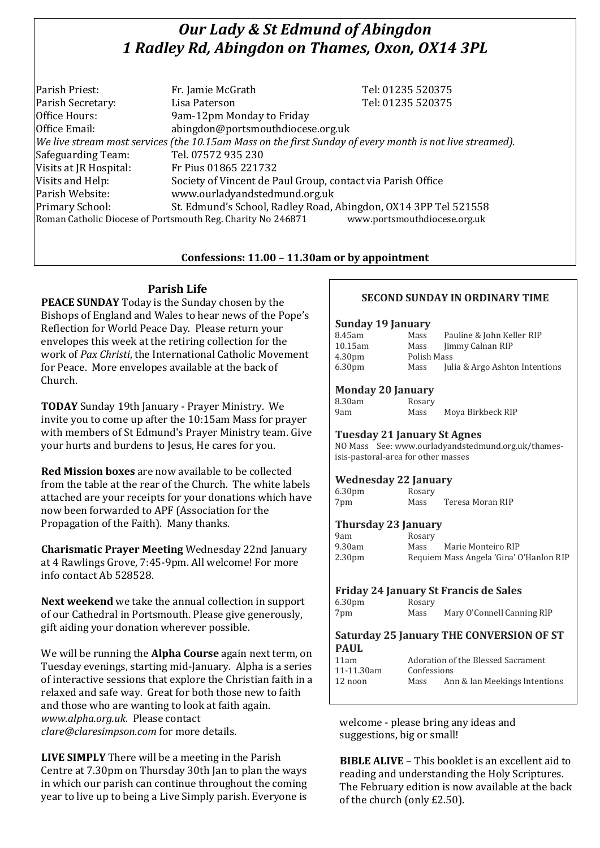# *Our Lady & St Edmund of Abingdon 1 Radley Rd, Abingdon on Thames, Oxon, OX14 3PL*

| Parish Priest:         | Fr. Jamie McGrath                                                                                        | Tel: 01235 520375            |
|------------------------|----------------------------------------------------------------------------------------------------------|------------------------------|
| Parish Secretary:      | Lisa Paterson                                                                                            | Tel: 01235 520375            |
| Office Hours:          | 9am-12pm Monday to Friday                                                                                |                              |
| Office Email:          | abingdon@portsmouthdiocese.org.uk                                                                        |                              |
|                        | We live stream most services (the 10.15am Mass on the first Sunday of every month is not live streamed). |                              |
| Safeguarding Team:     | Tel. 07572 935 230                                                                                       |                              |
| Visits at JR Hospital: | Fr Pius 01865 221732                                                                                     |                              |
| Visits and Help:       | Society of Vincent de Paul Group, contact via Parish Office                                              |                              |
| Parish Website:        | www.ourladyandstedmund.org.uk                                                                            |                              |
| Primary School:        | St. Edmund's School, Radley Road, Abingdon, OX14 3PP Tel 521558                                          |                              |
|                        | Roman Catholic Diocese of Portsmouth Reg. Charity No 246871                                              | www.portsmouthdiocese.org.uk |

# **Confessions: 11.00 – 11.30am or by appointment**

# **Parish Life**

**PEACE SUNDAY** Today is the Sunday chosen by the Bishops of England and Wales to hear news of the Pope's Reflection for World Peace Day. Please return your envelopes this week at the retiring collection for the work of *Pax Christi*, the International Catholic Movement for Peace. More envelopes available at the back of Church.

**TODAY** Sunday 19th January - Prayer Ministry. We invite you to come up after the 10:15am Mass for prayer with members of St Edmund's Prayer Ministry team. Give your hurts and burdens to Jesus, He cares for you.

**Red Mission boxes** are now available to be collected from the table at the rear of the Church. The white labels attached are your receipts for your donations which have now been forwarded to APF (Association for the Propagation of the Faith). Many thanks.

**Charismatic Prayer Meeting** Wednesday 22nd January at 4 Rawlings Grove, 7:45-9pm. All welcome! For more info contact Ab 528528.

**Next weekend** we take the annual collection in support of our Cathedral in Portsmouth. Please give generously, gift aiding your donation wherever possible.

We will be running the **Alpha Course** again next term, on Tuesday evenings, starting mid-January. Alpha is a series of interactive sessions that explore the Christian faith in a relaxed and safe way. Great for both those new to faith and those who are wanting to look at faith again. *www.alpha.org.uk*. Please contact *clare@claresimpson.com* for more details.

**LIVE SIMPLY** There will be a meeting in the Parish Centre at 7.30pm on Thursday 30th Jan to plan the ways in which our parish can continue throughout the coming year to live up to being a Live Simply parish. Everyone is

# **SECOND SUNDAY IN ORDINARY TIME**

### **Sunday 19 January**

| 8.45am             | Mass        | Pauline & John Keller RIP      |
|--------------------|-------------|--------------------------------|
| 10.15am            | Mass        | Jimmy Calnan RIP               |
| 4.30 <sub>pm</sub> | Polish Mass |                                |
| 6.30 <sub>pm</sub> | Mass        | Julia & Argo Ashton Intentions |
|                    |             |                                |

### **Monday 20 January**

| 8.30am | Rosary |                   |
|--------|--------|-------------------|
| 9am    | Mass   | Moya Birkbeck RIP |

### **Tuesday 21 January St Agnes**

NO Mass See: www.ourladyandstedmund.org.uk/thamesisis-pastoral-area for other masses

# **Wednesday 22 January**

| 6.30 <sub>pm</sub> | Rosary |                  |
|--------------------|--------|------------------|
| 7pm                | Mass   | Teresa Moran RIP |

# **Thursday 23 January**

| 9am                | Rosary |                                         |
|--------------------|--------|-----------------------------------------|
| 9.30am             | Mass   | Marie Monteiro RIP                      |
| 2.30 <sub>pm</sub> |        | Requiem Mass Angela 'Gina' O'Hanlon RIP |

# **Friday 24 January St Francis de Sales**

| 6.30 <sub>pm</sub> | Rosary |                            |
|--------------------|--------|----------------------------|
| 7pm                | Mass   | Mary O'Connell Canning RIP |

#### **Saturday 25 January THE CONVERSION OF ST PAUL**

| <b>FAUL</b> |             |                                    |
|-------------|-------------|------------------------------------|
| 11am        |             | Adoration of the Blessed Sacrament |
| 11-11.30am  | Confessions |                                    |
| 12 noon     | Mass        | Ann & Ian Meekings Intentions      |
|             |             |                                    |

welcome - please bring any ideas and suggestions, big or small!

**BIBLE ALIVE** – This booklet is an excellent aid to reading and understanding the Holy Scriptures. The February edition is now available at the back of the church (only £2.50).